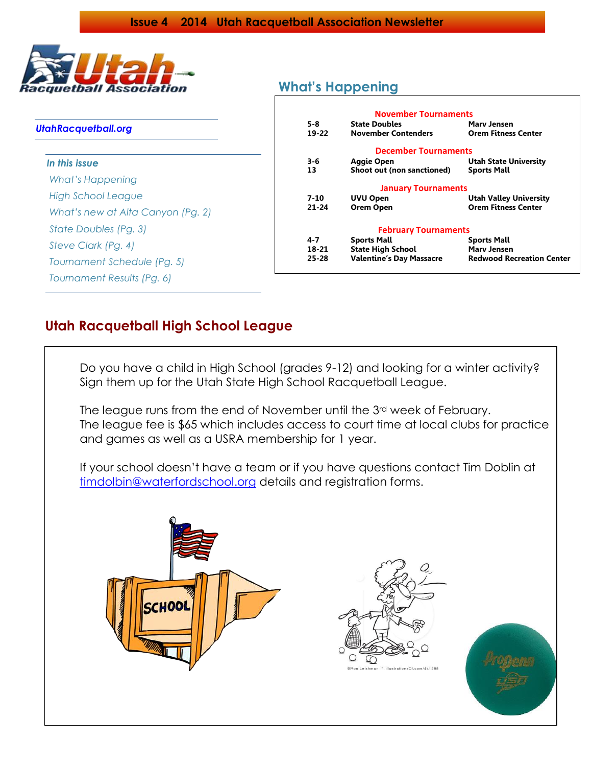

### *UtahRacquetball.org*

| In this issue                     |  |  |  |  |
|-----------------------------------|--|--|--|--|
| What's Happening                  |  |  |  |  |
| High School League                |  |  |  |  |
| What's new at Alta Canyon (Pg. 2) |  |  |  |  |
| State Doubles (Pg. 3)             |  |  |  |  |
| Steve Clark (Pg. 4)               |  |  |  |  |
| Tournament Schedule (Pg. 5)       |  |  |  |  |
| Tournament Results (Pg. 6)        |  |  |  |  |

# **What's Happening**

|                                              | <b>November Tournaments</b>     |                                  |  |  |  |  |
|----------------------------------------------|---------------------------------|----------------------------------|--|--|--|--|
| <b>State Doubles</b><br>$5-8$<br>Mary Jensen |                                 |                                  |  |  |  |  |
| $19 - 22$                                    | <b>November Contenders</b>      | <b>Orem Fitness Center</b>       |  |  |  |  |
| <b>December Tournaments</b>                  |                                 |                                  |  |  |  |  |
| $3 - 6$                                      | <b>Aggie Open</b>               | <b>Utah State University</b>     |  |  |  |  |
| 13                                           | Shoot out (non sanctioned)      | <b>Sports Mall</b>               |  |  |  |  |
|                                              | <b>January Tournaments</b>      |                                  |  |  |  |  |
| 7-10                                         | <b>UVU Open</b>                 | <b>Utah Valley University</b>    |  |  |  |  |
| $21 - 24$                                    | <b>Orem Open</b>                | <b>Orem Fitness Center</b>       |  |  |  |  |
|                                              | <b>February Tournaments</b>     |                                  |  |  |  |  |
| 4-7                                          | <b>Sports Mall</b>              | <b>Sports Mall</b>               |  |  |  |  |
| 18-21                                        | <b>State High School</b>        | Mary Jensen                      |  |  |  |  |
| $25 - 28$                                    | <b>Valentine's Day Massacre</b> | <b>Redwood Recreation Center</b> |  |  |  |  |
|                                              |                                 |                                  |  |  |  |  |

## **Utah Racquetball High School League**

Do you have a child in High School (grades 9-12) and looking for a winter activity? Sign them up for the Utah State High School Racquetball League.

The league runs from the end of November until the 3rd week of February. The league fee is \$65 which includes access to court time at local clubs for practice and games as well as a USRA membership for 1 year.

If your school doesn't have a team or if you have questions contact Tim Doblin at [timdolbin@waterfordschool.org](mailto:timdolbin@waterfordschool.org) details and registration forms.



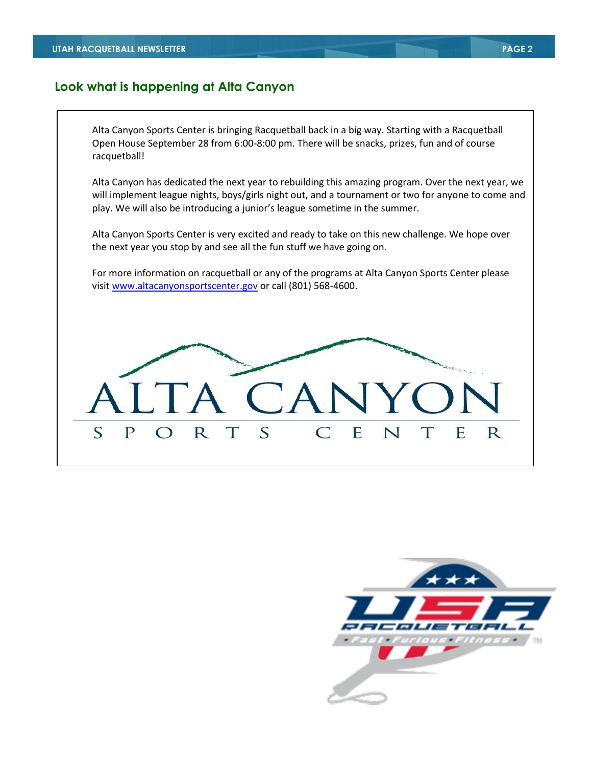### **Look what is happening at Alta Canyon**

Alta Canyon Sports Center is bringing Racquetball back in a big way. Starting with a Racquetball Open House September 28 from 6:00-8:00 pm. There will be snacks, prizes, fun and of course racquetball!

Alta Canyon has dedicated the next year to rebuilding this amazing program. Over the next year, we will implement league nights, boys/girls night out, and a tournament or two for anyone to come and play. We will also be introducing a junior's league sometime in the summer.

Alta Canyon Sports Center is very excited and ready to take on this new challenge. We hope over the next year you stop by and see all the fun stuff we have going on.

For more information on racquetball or any of the programs at Alta Canyon Sports Center please visit [www.altacanyonsportscenter.gov](http://www.altacanyonsportscenter.gov/) or call (801) 568-4600.



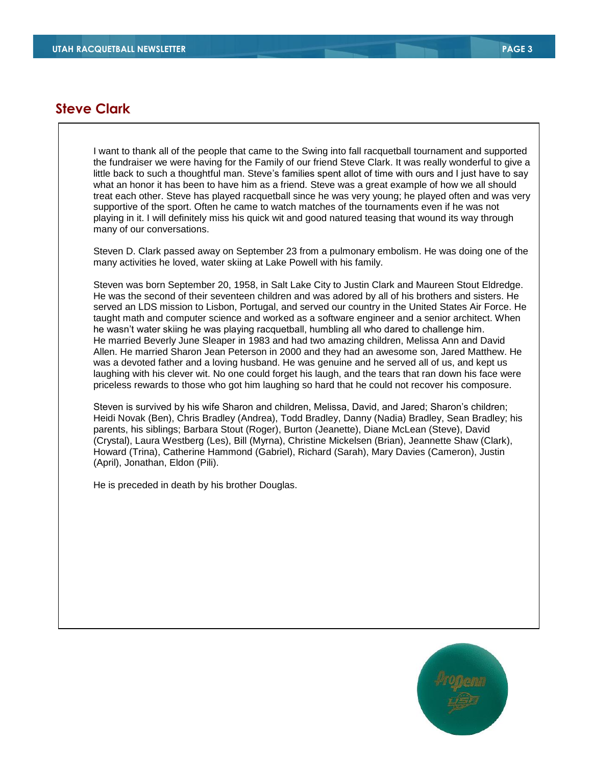### **Steve Clark**

I want to thank all of the people that came to the Swing into fall racquetball tournament and supported the fundraiser we were having for the Family of our friend Steve Clark. It was really wonderful to give a little back to such a thoughtful man. Steve's families spent allot of time with ours and I just have to say what an honor it has been to have him as a friend. Steve was a great example of how we all should treat each other. Steve has played racquetball since he was very young; he played often and was very supportive of the sport. Often he came to watch matches of the tournaments even if he was not playing in it. I will definitely miss his quick wit and good natured teasing that wound its way through many of our conversations.

Steven D. Clark passed away on September 23 from a pulmonary embolism. He was doing one of the many activities he loved, water skiing at Lake Powell with his family.

Steven was born September 20, 1958, in Salt Lake City to Justin Clark and Maureen Stout Eldredge. He was the second of their seventeen children and was adored by all of his brothers and sisters. He served an LDS mission to Lisbon, Portugal, and served our country in the United States Air Force. He taught math and computer science and worked as a software engineer and a senior architect. When he wasn't water skiing he was playing racquetball, humbling all who dared to challenge him. He married Beverly June Sleaper in 1983 and had two amazing children, Melissa Ann and David Allen. He married Sharon Jean Peterson in 2000 and they had an awesome son, Jared Matthew. He was a devoted father and a loving husband. He was genuine and he served all of us, and kept us laughing with his clever wit. No one could forget his laugh, and the tears that ran down his face were priceless rewards to those who got him laughing so hard that he could not recover his composure.

Steven is survived by his wife Sharon and children, Melissa, David, and Jared; Sharon's children; Heidi Novak (Ben), Chris Bradley (Andrea), Todd Bradley, Danny (Nadia) Bradley, Sean Bradley; his parents, his siblings; Barbara Stout (Roger), Burton (Jeanette), Diane McLean (Steve), David (Crystal), Laura Westberg (Les), Bill (Myrna), Christine Mickelsen (Brian), Jeannette Shaw (Clark), Howard (Trina), Catherine Hammond (Gabriel), Richard (Sarah), Mary Davies (Cameron), Justin (April), Jonathan, Eldon (Pili).

He is preceded in death by his brother Douglas.

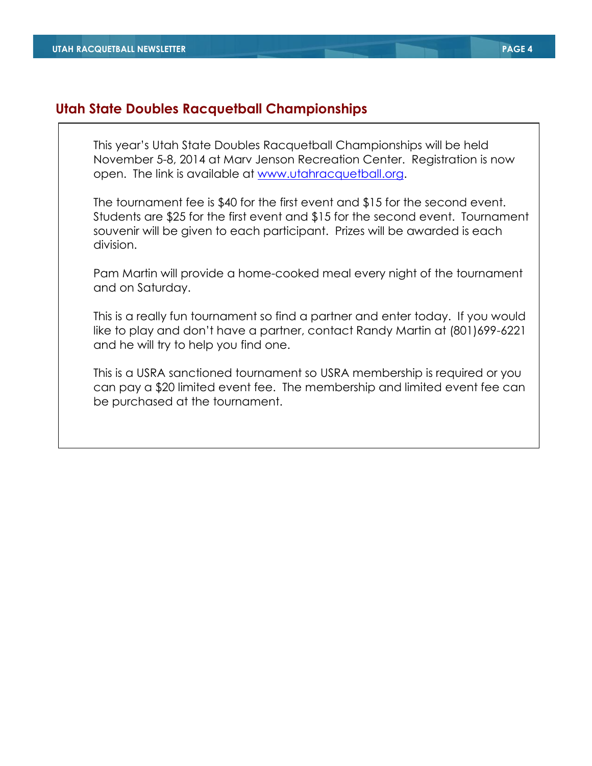## **Utah State Doubles Racquetball Championships**

This year's Utah State Doubles Racquetball Championships will be held November 5-8, 2014 at Marv Jenson Recreation Center. Registration is now open. The link is available at [www.utahracquetball.org.](http://www.utahracquetball.org/)

The tournament fee is \$40 for the first event and \$15 for the second event. Students are \$25 for the first event and \$15 for the second event. Tournament souvenir will be given to each participant. Prizes will be awarded is each division.

Pam Martin will provide a home-cooked meal every night of the tournament and on Saturday.

This is a really fun tournament so find a partner and enter today. If you would like to play and don't have a partner, contact Randy Martin at (801)699-6221 and he will try to help you find one.

This is a USRA sanctioned tournament so USRA membership is required or you can pay a \$20 limited event fee. The membership and limited event fee can be purchased at the tournament.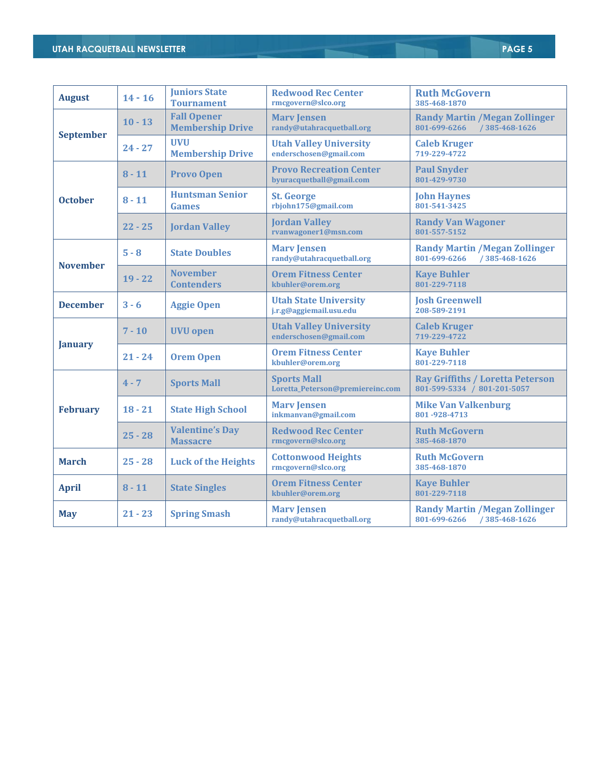| <b>August</b>    | $14 - 16$ | <b>Juniors State</b><br><b>Tournament</b>     | <b>Redwood Rec Center</b><br>rmcgovern@slco.org            | <b>Ruth McGovern</b><br>385-468-1870                                   |
|------------------|-----------|-----------------------------------------------|------------------------------------------------------------|------------------------------------------------------------------------|
|                  | $10 - 13$ | <b>Fall Opener</b><br><b>Membership Drive</b> | <b>Mary Jensen</b><br>randy@utahracquetball.org            | <b>Randy Martin / Megan Zollinger</b><br>801-699-6266<br>/385-468-1626 |
| <b>September</b> | $24 - 27$ | <b>UVU</b><br><b>Membership Drive</b>         | <b>Utah Valley University</b><br>enderschosen@gmail.com    | <b>Caleb Kruger</b><br>719-229-4722                                    |
| <b>October</b>   | $8 - 11$  | <b>Provo Open</b>                             | <b>Provo Recreation Center</b><br>byuracquetball@gmail.com | <b>Paul Snyder</b><br>801-429-9730                                     |
|                  | $8 - 11$  | <b>Huntsman Senior</b><br>Games               | <b>St. George</b><br>rbjohn175@gmail.com                   | <b>John Haynes</b><br>801-541-3425                                     |
|                  | $22 - 25$ | <b>Jordan Valley</b>                          | <b>Jordan Valley</b><br>rvanwagoner1@msn.com               | <b>Randy Van Wagoner</b><br>801-557-5152                               |
|                  | $5 - 8$   | <b>State Doubles</b>                          | <b>Mary Jensen</b><br>randy@utahracquetball.org            | <b>Randy Martin / Megan Zollinger</b><br>801-699-6266<br>/385-468-1626 |
| <b>November</b>  | $19 - 22$ | <b>November</b><br><b>Contenders</b>          | <b>Orem Fitness Center</b><br>kbuhler@orem.org             | <b>Kaye Buhler</b><br>801-229-7118                                     |
| <b>December</b>  | $3 - 6$   | <b>Aggie Open</b>                             | <b>Utah State University</b><br>j.r.g@aggiemail.usu.edu    | <b>Josh Greenwell</b><br>208-589-2191                                  |
| <b>January</b>   | $7 - 10$  | <b>UVU</b> open                               | <b>Utah Valley University</b><br>enderschosen@gmail.com    | <b>Caleb Kruger</b><br>719-229-4722                                    |
|                  | $21 - 24$ | <b>Orem Open</b>                              | <b>Orem Fitness Center</b><br>kbuhler@orem.org             | <b>Kaye Buhler</b><br>801-229-7118                                     |
|                  | $4 - 7$   | <b>Sports Mall</b>                            | <b>Sports Mall</b><br>Loretta_Peterson@premiereinc.com     | <b>Ray Griffiths / Loretta Peterson</b><br>801-599-5334 / 801-201-5057 |
| <b>February</b>  | $18 - 21$ | <b>State High School</b>                      | <b>Mary Jensen</b><br>inkmanvan@gmail.com                  | <b>Mike Van Valkenburg</b><br>801-928-4713                             |
|                  | $25 - 28$ | <b>Valentine's Day</b><br><b>Massacre</b>     | <b>Redwood Rec Center</b><br>rmcgovern@slco.org            | <b>Ruth McGovern</b><br>385-468-1870                                   |
| <b>March</b>     | $25 - 28$ | <b>Luck of the Heights</b>                    | <b>Cottonwood Heights</b><br>rmcgovern@slco.org            | <b>Ruth McGovern</b><br>385-468-1870                                   |
| <b>April</b>     | $8 - 11$  | <b>State Singles</b>                          | <b>Orem Fitness Center</b><br>kbuhler@orem.org             | <b>Kaye Buhler</b><br>801-229-7118                                     |
| <b>May</b>       | $21 - 23$ | <b>Spring Smash</b>                           | <b>Marv Jensen</b><br>randy@utahracquetball.org            | <b>Randy Martin / Megan Zollinger</b><br>/385-468-1626<br>801-699-6266 |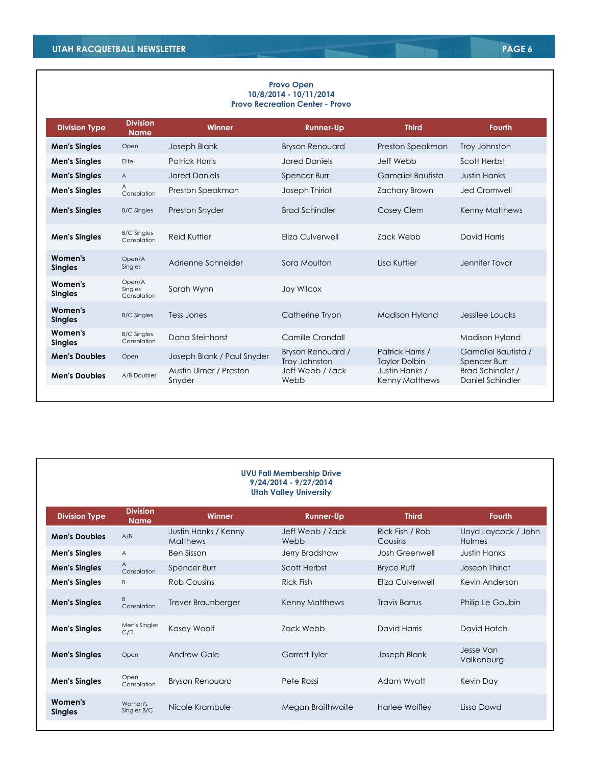#### **Provo Open 10/8/2014 - 10/11/2014 Provo Recreation Center - Provo**

| <b>Division Type</b>      | <b>Division</b><br><b>Name</b>    | <b>Winner</b>                    | <b>Runner-Up</b>                   | <b>Third</b>                             | <b>Fourth</b>                        |
|---------------------------|-----------------------------------|----------------------------------|------------------------------------|------------------------------------------|--------------------------------------|
| <b>Men's Singles</b>      | Open                              | Joseph Blank                     | <b>Bryson Renouard</b>             | Preston Speakman                         | Troy Johnston                        |
| <b>Men's Singles</b>      | Elite                             | <b>Patrick Harris</b>            | <b>Jared Daniels</b>               | Jeff Webb                                | Scott Herbst                         |
| <b>Men's Singles</b>      | $\overline{A}$                    | <b>Jared Daniels</b>             | Spencer Burr                       | Gamaliel Bautista                        | <b>Justin Hanks</b>                  |
| <b>Men's Singles</b>      | A<br>Consolation                  | Preston Speakman                 | Joseph Thiriot                     | <b>Zachary Brown</b>                     | <b>Jed Cromwell</b>                  |
| <b>Men's Singles</b>      | <b>B/C Singles</b>                | <b>Preston Snyder</b>            | <b>Brad Schindler</b>              | Casey Clem                               | Kenny Matthews                       |
| <b>Men's Singles</b>      | <b>B/C Singles</b><br>Consolation | Reid Kuttler                     | Eliza Culverwell                   | <b>7ack Webb</b>                         | David Harris                         |
| Women's<br><b>Singles</b> | Open/A<br>Singles                 | Adrienne Schneider               | Sara Moulton                       | Lisa Kuttler                             | Jennifer Tovar                       |
| Women's<br><b>Singles</b> | Open/A<br>Singles<br>Consolation  | Sarah Wynn                       | <b>Joy Wilcox</b>                  |                                          |                                      |
| Women's<br><b>Singles</b> | <b>B/C Singles</b>                | Tess Jones                       | Catherine Tryon                    | <b>Madison Hyland</b>                    | Jessilee Loucks                      |
| Women's<br><b>Singles</b> | <b>B/C Singles</b><br>Consolation | Dana Steinhorst                  | Camille Crandall                   |                                          | Madison Hyland                       |
| <b>Men's Doubles</b>      | Open                              | Joseph Blank / Paul Snyder       | Bryson Renouard /<br>Troy Johnston | Patrick Harris /<br><b>Taylor Dolbin</b> | Gamaliel Bautista /<br>Spencer Burr  |
| <b>Men's Doubles</b>      | A/B Doubles                       | Austin Ulmer / Preston<br>Snyder | Jeff Webb / Zack<br>Webb           | Justin Hanks /<br><b>Kenny Matthews</b>  | Brad Schindler /<br>Daniel Schindler |
|                           |                                   |                                  |                                    |                                          |                                      |

#### **UVU Fall Membership Drive 9/24/2014 - 9/27/2014 Utah Valley University Division Type Division Name Winner Runner-Up Third Fourth Men's Doubles** A/B Justin Hanks / Kenny **Matthews** Jeff Webb / Zack Webb Rick Fish / Rob Cousins Lloyd Laycock / John Holmes **Men's Singles** A Ben Sisson Jerry Bradshaw Josh Greenwell Justin Hanks **Men's Singles**  $\qquad_{\text{Consolation}}^{A}$ Spencer Burr Scott Herbst Bryce Ruff Joseph Thiriot **Men's Singles** B Rob Cousins Rick Fish Eliza Culverwell Kevin Anderson **Men's Singles** B<br>Consolation Trever Braunberger Kenny Matthews Travis Barrus Philip Le Goubin **Men's Singles** Men's Singles C/D Kasey Woolf Zack Webb David Harris David Hatch **Men's Singles** Open Andrew Gale Garrett Tyler Joseph Blank Jesse Van Valkenburg **Men's Singles** Open Consolation Bryson Renouard **Pete Rossi** Adam Wyatt Kevin Day **Women's Singles** Women's<br>Singles B/C Nicole Krambule **Megan Braithwaite** Harlee Wolfley Lissa Dowd